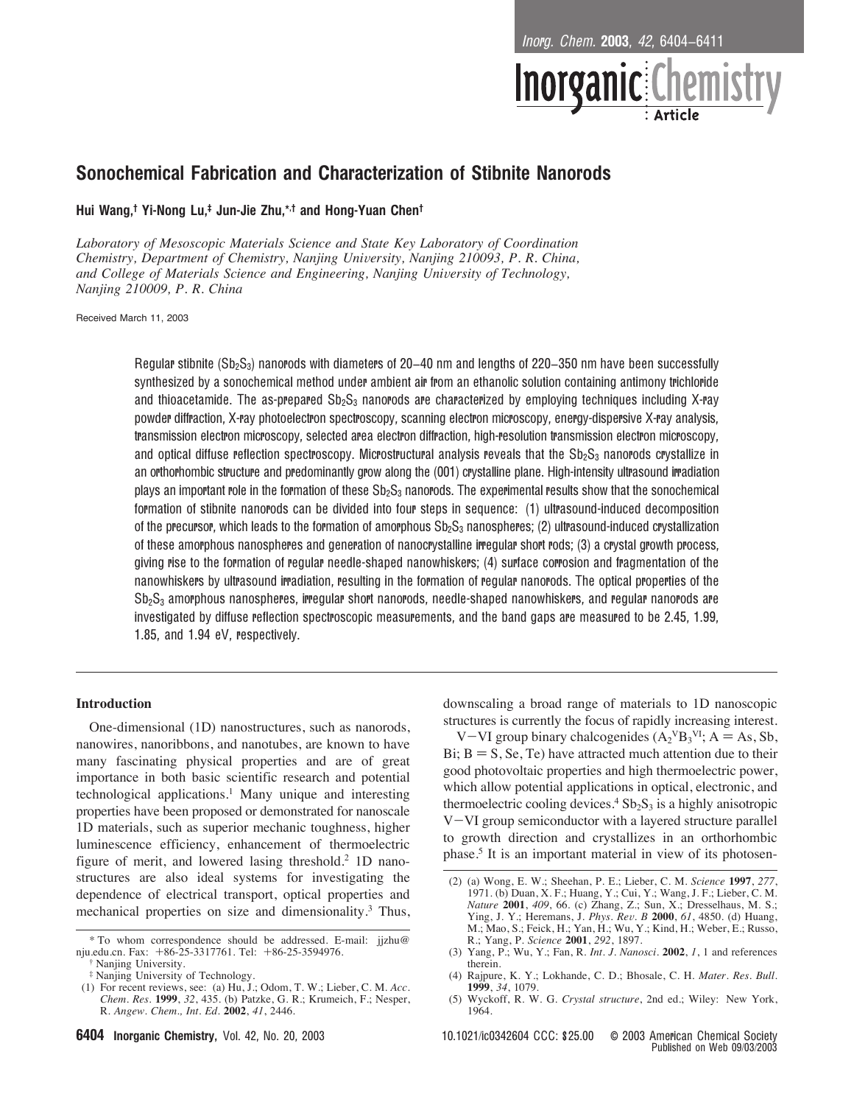<sup>I</sup>norg. <sup>C</sup>hem. 2003, <sup>42</sup>, 6404−6411



# Sonochemical Fabrication and Characterization of Stibnite Nanorods

## Hui Wang, † Yi-Nong Lu, ‡ Jun-Jie Zhu,\*,† and Hong-Yuan Chen†

*Laboratory of Mesoscopic Materials Science and State Key Laboratory of Coordination Chemistry, Department of Chemistry, Nanjing University, Nanjing 210093, P. R. China, and College of Materials Science and Engineering, Nanjing Uni*V*ersity of Technology, Nanjing 210009, P. R. China*

Received March 11, 2003

Regular stibnite (Sb<sub>2</sub>S<sub>3</sub>) nanorods with diameters of 20−40 nm and lengths of 220–350 nm have been successfully synthesized by a sonochemical method under ambient air from an ethanolic solution containing antimony trichloride and thioacetamide. The as-prepared  $Sb_2S_3$  nanorods are characterized by employing techniques including X-ray powder diffraction, X-ray photoelectron spectroscopy, scanning electron microscopy, energy-dispersive X-ray analysis, transmission electron microscopy, selected area electron diffraction, high-resolution transmission electron microscopy, and optical diffuse reflection spectroscopy. Microstructural analysis reveals that the  $Sb_2S_3$  nanorods crystallize in an orthorhombic structure and predominantly grow along the (001) crystalline plane. High-intensity ultrasound irradiation plays an important role in the formation of these  $Sb_2S_3$  nanorods. The experimental results show that the sonochemical formation of stibnite nanorods can be divided into four steps in sequence: (1) ultrasound-induced decomposition of the precursor, which leads to the formation of amorphous  $Sb_2S_3$  nanospheres; (2) ultrasound-induced crystallization of these amorphous nanospheres and generation of nanocrystalline irregular short rods; (3) a crystal growth process, giving rise to the formation of regular needle-shaped nanowhiskers; (4) surface corrosion and fragmentation of the nanowhiskers by ultrasound irradiation, resulting in the formation of regular nanorods. The optical properties of the Sb<sub>2</sub>S<sub>3</sub> amorphous nanospheres, irregular short nanorods, needle-shaped nanowhiskers, and regular nanorods are investigated by diffuse reflection spectroscopic measurements, and the band gaps are measured to be 2.45, 1.99, 1.85, and 1.94 eV, respectively.

### **Introduction**

One-dimensional (1D) nanostructures, such as nanorods, nanowires, nanoribbons, and nanotubes, are known to have many fascinating physical properties and are of great importance in both basic scientific research and potential technological applications.<sup>1</sup> Many unique and interesting properties have been proposed or demonstrated for nanoscale 1D materials, such as superior mechanic toughness, higher luminescence efficiency, enhancement of thermoelectric figure of merit, and lowered lasing threshold.<sup>2</sup> 1D nanostructures are also ideal systems for investigating the dependence of electrical transport, optical properties and mechanical properties on size and dimensionality.<sup>3</sup> Thus, downscaling a broad range of materials to 1D nanoscopic structures is currently the focus of rapidly increasing interest.

V-VI group binary chalcogenides  $(A_2^{\vee}B_3^{\vee}I; A = As, Sb,$ Bi;  $B = S$ , Se, Te) have attracted much attention due to their good photovoltaic properties and high thermoelectric power, which allow potential applications in optical, electronic, and thermoelectric cooling devices.<sup>4</sup>  $Sb<sub>2</sub>S<sub>3</sub>$  is a highly anisotropic V-VI group semiconductor with a layered structure parallel to growth direction and crystallizes in an orthorhombic phase.5 It is an important material in view of its photosen-

<sup>\*</sup> To whom correspondence should be addressed. E-mail: jjzhu@ nju.edu.cn. Fax: +86-25-3317761. Tel: +86-25-3594976.

Nanjing University.

<sup>‡</sup> Nanjing University of Technology.

<sup>(1)</sup> For recent reviews, see: (a) Hu, J.; Odom, T. W.; Lieber, C. M. *Acc. Chem. Res.* **1999**, *32*, 435. (b) Patzke, G. R.; Krumeich, F.; Nesper, R. *Angew. Chem., Int. Ed.* **2002**, *41*, 2446.

<sup>(2) (</sup>a) Wong, E. W.; Sheehan, P. E.; Lieber, C. M. *Science* **1997**, *277*, 1971. (b) Duan, X. F.; Huang, Y.; Cui, Y.; Wang, J. F.; Lieber, C. M. *Nature* **2001**, *409*, 66. (c) Zhang, Z.; Sun, X.; Dresselhaus, M. S.; Ying, J. Y.; Heremans, J. *Phys. Re*V*. B* **2000**, *61*, 4850. (d) Huang, M.; Mao, S.; Feick, H.; Yan, H.; Wu, Y.; Kind, H.; Weber, E.; Russo, R.; Yang, P. *Science* **2001**, *292*, 1897.

<sup>(3)</sup> Yang, P.; Wu, Y.; Fan, R. *Int. J. Nanosci.* **2002**, *1*, 1 and references therein.

<sup>(4)</sup> Rajpure, K. Y.; Lokhande, C. D.; Bhosale, C. H. *Mater. Res. Bull.* **1999**, *34*, 1079.

<sup>(5)</sup> Wyckoff, R. W. G. *Crystal structure*, 2nd ed.; Wiley: New York, 1964.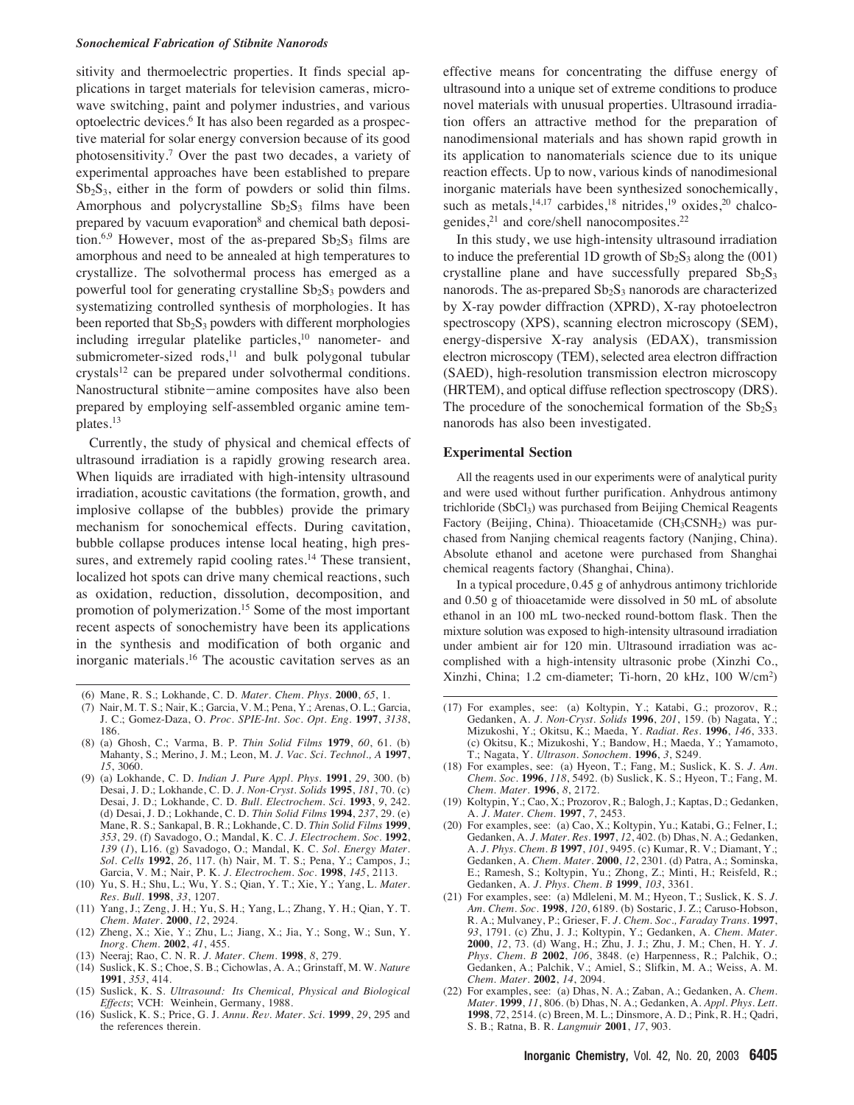#### *Sonochemical Fabrication of Stibnite Nanorods*

sitivity and thermoelectric properties. It finds special applications in target materials for television cameras, microwave switching, paint and polymer industries, and various optoelectric devices.6 It has also been regarded as a prospective material for solar energy conversion because of its good photosensitivity.7 Over the past two decades, a variety of experimental approaches have been established to prepare  $Sb<sub>2</sub>S<sub>3</sub>$ , either in the form of powders or solid thin films. Amorphous and polycrystalline  $Sb_2S_3$  films have been prepared by vacuum evaporation<sup>8</sup> and chemical bath deposition.<sup>6,9</sup> However, most of the as-prepared  $Sb_2S_3$  films are amorphous and need to be annealed at high temperatures to crystallize. The solvothermal process has emerged as a powerful tool for generating crystalline  $Sb_2S_3$  powders and systematizing controlled synthesis of morphologies. It has been reported that  $Sb_2S_3$  powders with different morphologies including irregular platelike particles,<sup>10</sup> nanometer- and submicrometer-sized rods, $11$  and bulk polygonal tubular crystals<sup>12</sup> can be prepared under solvothermal conditions. Nanostructural stibnite-amine composites have also been prepared by employing self-assembled organic amine templates.13

Currently, the study of physical and chemical effects of ultrasound irradiation is a rapidly growing research area. When liquids are irradiated with high-intensity ultrasound irradiation, acoustic cavitations (the formation, growth, and implosive collapse of the bubbles) provide the primary mechanism for sonochemical effects. During cavitation, bubble collapse produces intense local heating, high pressures, and extremely rapid cooling rates.<sup>14</sup> These transient, localized hot spots can drive many chemical reactions, such as oxidation, reduction, dissolution, decomposition, and promotion of polymerization.15 Some of the most important recent aspects of sonochemistry have been its applications in the synthesis and modification of both organic and inorganic materials.16 The acoustic cavitation serves as an

- (6) Mane, R. S.; Lokhande, C. D. *Mater. Chem. Phys.* **2000**, *65*, 1.
- (7) Nair, M. T. S.; Nair, K.; Garcia, V. M.; Pena, Y.; Arenas, O. L.; Garcia, J. C.; Gomez-Daza, O. *Proc. SPIE-Int. Soc. Opt. Eng.* **1997**, *3138*, 186.
- (8) (a) Ghosh, C.; Varma, B. P. *Thin Solid Films* **1979**, *60*, 61. (b) Mahanty, S.; Merino, J. M.; Leon, M. *J. Vac. Sci. Technol., A* **1997**, *15*, 3060.
- (9) (a) Lokhande, C. D. *Indian J. Pure Appl. Phys.* **1991**, *29*, 300. (b) Desai, J. D.; Lokhande, C. D. *J. Non-Cryst. Solids* **1995**, *181*, 70. (c) Desai, J. D.; Lokhande, C. D. *Bull. Electrochem. Sci.* **1993**, *9*, 242. (d) Desai, J. D.; Lokhande, C. D. *Thin Solid Films* **1994**, *237*, 29. (e) Mane, R. S.; Sankapal, B. R.; Lokhande, C. D. *Thin Solid Films* **1999**, *353*, 29. (f) Savadogo, O.; Mandal, K. C. *J. Electrochem. Soc.* **1992**, *139* (*1*), L16. (g) Savadogo, O.; Mandal, K. C. *Sol. Energy Mater. Sol. Cells* **1992**, *26*, 117. (h) Nair, M. T. S.; Pena, Y.; Campos, J.; Garcia, V. M.; Nair, P. K. *J. Electrochem. Soc.* **1998**, *145*, 2113.
- (10) Yu, S. H.; Shu, L.; Wu, Y. S.; Qian, Y. T.; Xie, Y.; Yang, L. *Mater. Res. Bull.* **1998**, *33*, 1207.
- (11) Yang, J.; Zeng, J. H.; Yu, S. H.; Yang, L.; Zhang, Y. H.; Qian, Y. T. *Chem. Mater.* **2000**, *12*, 2924.
- (12) Zheng, X.; Xie, Y.; Zhu, L.; Jiang, X.; Jia, Y.; Song, W.; Sun, Y. *Inorg. Chem.* **2002**, *41*, 455.
- (13) Neeraj; Rao, C. N. R. *J. Mater. Chem.* **1998**, *8*, 279.
- (14) Suslick, K. S.; Choe, S. B.; Cichowlas, A. A.; Grinstaff, M. W. *Nature* **1991**, *353*, 414.
- (15) Suslick, K. S. *Ultrasound: Its Chemical, Physical and Biological Effects*; VCH: Weinhein, Germany, 1988.
- (16) Suslick, K. S.; Price, G. J. *Annu. Re*V*. Mater. Sci.* **1999**, *29*, 295 and the references therein.

effective means for concentrating the diffuse energy of ultrasound into a unique set of extreme conditions to produce novel materials with unusual properties. Ultrasound irradiation offers an attractive method for the preparation of nanodimensional materials and has shown rapid growth in its application to nanomaterials science due to its unique reaction effects. Up to now, various kinds of nanodimesional inorganic materials have been synthesized sonochemically, such as metals,<sup>14,17</sup> carbides,<sup>18</sup> nitrides,<sup>19</sup> oxides,<sup>20</sup> chalcogenides,<sup>21</sup> and core/shell nanocomposites.<sup>22</sup>

In this study, we use high-intensity ultrasound irradiation to induce the preferential 1D growth of  $Sb_2S_3$  along the (001) crystalline plane and have successfully prepared  $Sb_2S_3$ nanorods. The as-prepared  $Sb_2S_3$  nanorods are characterized by X-ray powder diffraction (XPRD), X-ray photoelectron spectroscopy (XPS), scanning electron microscopy (SEM), energy-dispersive X-ray analysis (EDAX), transmission electron microscopy (TEM), selected area electron diffraction (SAED), high-resolution transmission electron microscopy (HRTEM), and optical diffuse reflection spectroscopy (DRS). The procedure of the sonochemical formation of the  $Sb_2S_3$ nanorods has also been investigated.

## **Experimental Section**

All the reagents used in our experiments were of analytical purity and were used without further purification. Anhydrous antimony trichloride (SbCl<sub>3</sub>) was purchased from Beijing Chemical Reagents Factory (Beijing, China). Thioacetamide (CH<sub>3</sub>CSNH<sub>2</sub>) was purchased from Nanjing chemical reagents factory (Nanjing, China). Absolute ethanol and acetone were purchased from Shanghai chemical reagents factory (Shanghai, China).

In a typical procedure, 0.45 g of anhydrous antimony trichloride and 0.50 g of thioacetamide were dissolved in 50 mL of absolute ethanol in an 100 mL two-necked round-bottom flask. Then the mixture solution was exposed to high-intensity ultrasound irradiation under ambient air for 120 min. Ultrasound irradiation was accomplished with a high-intensity ultrasonic probe (Xinzhi Co., Xinzhi, China; 1.2 cm-diameter; Ti-horn, 20 kHz, 100 W/cm2)

- (17) For examples, see: (a) Koltypin, Y.; Katabi, G.; prozorov, R.; Gedanken, A. *J. Non-Cryst. Solids* **1996**, *201*, 159. (b) Nagata, Y.; Mizukoshi, Y.; Okitsu, K.; Maeda, Y. *Radiat. Res.* **1996**, *146*, 333. (c) Okitsu, K.; Mizukoshi, Y.; Bandow, H.; Maeda, Y.; Yamamoto, T.; Nagata, Y. *Ultrason. Sonochem.* **1996**, *3*, S249.
- (18) For examples, see: (a) Hyeon, T.; Fang, M.; Suslick, K. S. *J. Am. Chem. Soc.* **1996**, *118*, 5492. (b) Suslick, K. S.; Hyeon, T.; Fang, M. *Chem. Mater.* **1996**, *8*, 2172.
- (19) Koltypin, Y.; Cao, X.; Prozorov, R.; Balogh, J.; Kaptas, D.; Gedanken, A. *J. Mater. Chem.* **1997**, *7*, 2453.
- (20) For examples, see: (a) Cao, X.; Koltypin, Yu.; Katabi, G.; Felner, I.; Gedanken, A. *J. Mater. Res.* **1997**, *12*, 402. (b) Dhas, N. A.; Gedanken, A. *J. Phys. Chem. B* **1997**, *101*, 9495. (c) Kumar, R. V.; Diamant, Y.; Gedanken, A. *Chem. Mater.* **2000**, *12*, 2301. (d) Patra, A.; Sominska, E.; Ramesh, S.; Koltypin, Yu.; Zhong, Z.; Minti, H.; Reisfeld, R.; Gedanken, A. *J. Phys. Chem. B* **1999**, *103*, 3361.
- (21) For examples, see: (a) Mdleleni, M. M.; Hyeon, T.; Suslick, K. S. *J. Am. Chem. Soc.* **1998**, *120*, 6189. (b) Sostaric, J. Z.; Caruso-Hobson, R. A.; Mulvaney, P.; Grieser, F. *J. Chem. Soc., Faraday Trans.* **1997**, *93*, 1791. (c) Zhu, J. J.; Koltypin, Y.; Gedanken, A. *Chem. Mater.* **2000**, *12*, 73. (d) Wang, H.; Zhu, J. J.; Zhu, J. M.; Chen, H. Y. *J. Phys. Chem. B* **2002**, *106*, 3848. (e) Harpenness, R.; Palchik, O.; Gedanken, A.; Palchik, V.; Amiel, S.; Slifkin, M. A.; Weiss, A. M. *Chem. Mater.* **2002**, *14*, 2094.
- (22) For examples, see: (a) Dhas, N. A.; Zaban, A.; Gedanken, A. *Chem. Mater.* **1999**, *11*, 806. (b) Dhas, N. A.; Gedanken, A. *Appl. Phys. Lett.* **1998**, *72*, 2514. (c) Breen, M. L.; Dinsmore, A. D.; Pink, R. H.; Qadri, S. B.; Ratna, B. R. *Langmuir* **2001**, *17*, 903.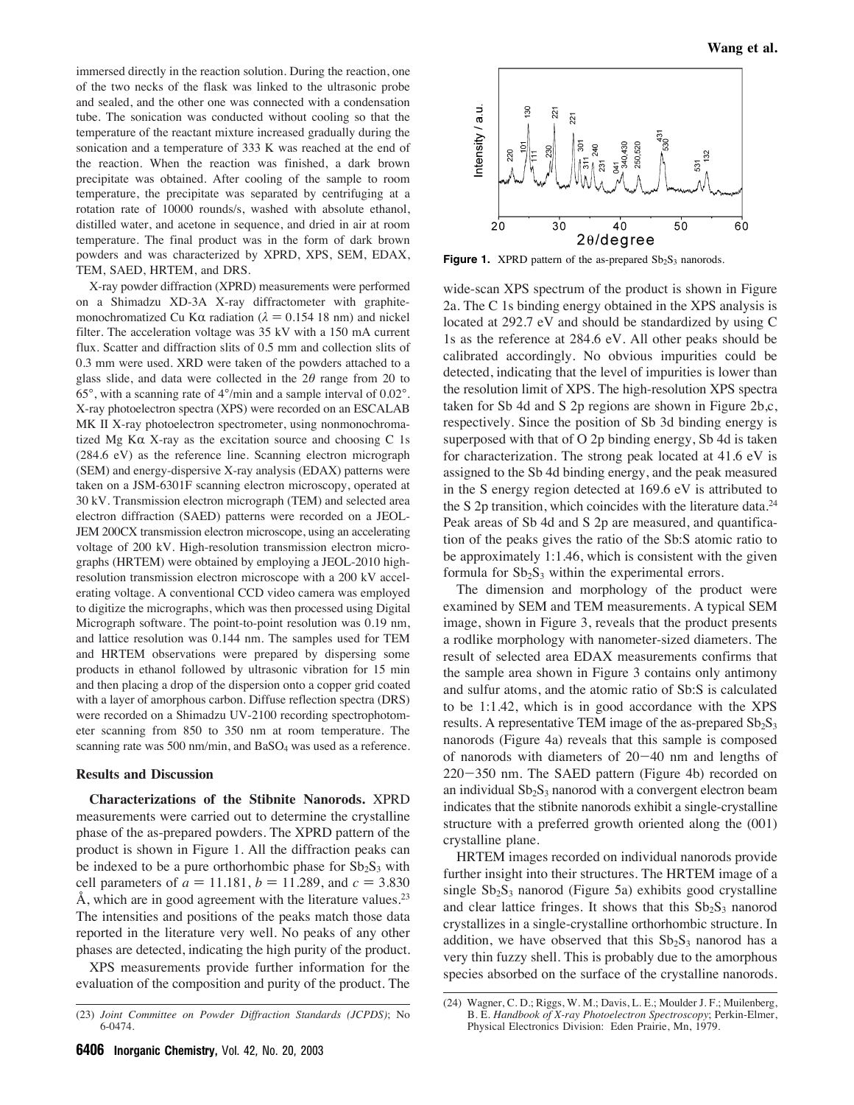immersed directly in the reaction solution. During the reaction, one of the two necks of the flask was linked to the ultrasonic probe and sealed, and the other one was connected with a condensation tube. The sonication was conducted without cooling so that the temperature of the reactant mixture increased gradually during the sonication and a temperature of 333 K was reached at the end of the reaction. When the reaction was finished, a dark brown precipitate was obtained. After cooling of the sample to room temperature, the precipitate was separated by centrifuging at a rotation rate of 10000 rounds/s, washed with absolute ethanol, distilled water, and acetone in sequence, and dried in air at room temperature. The final product was in the form of dark brown powders and was characterized by XPRD, XPS, SEM, EDAX, TEM, SAED, HRTEM, and DRS.

X-ray powder diffraction (XPRD) measurements were performed on a Shimadzu XD-3A X-ray diffractometer with graphitemonochromatized Cu K $\alpha$  radiation ( $\lambda = 0.154$  18 nm) and nickel filter. The acceleration voltage was 35 kV with a 150 mA current flux. Scatter and diffraction slits of 0.5 mm and collection slits of 0.3 mm were used. XRD were taken of the powders attached to a glass slide, and data were collected in the  $2\theta$  range from 20 to  $65^\circ$ , with a scanning rate of  $4^\circ$ /min and a sample interval of  $0.02^\circ$ . X-ray photoelectron spectra (XPS) were recorded on an ESCALAB MK II X-ray photoelectron spectrometer, using nonmonochromatized Mg K $\alpha$  X-ray as the excitation source and choosing C 1s (284.6 eV) as the reference line. Scanning electron micrograph (SEM) and energy-dispersive X-ray analysis (EDAX) patterns were taken on a JSM-6301F scanning electron microscopy, operated at 30 kV. Transmission electron micrograph (TEM) and selected area electron diffraction (SAED) patterns were recorded on a JEOL-JEM 200CX transmission electron microscope, using an accelerating voltage of 200 kV. High-resolution transmission electron micrographs (HRTEM) were obtained by employing a JEOL-2010 highresolution transmission electron microscope with a 200 kV accelerating voltage. A conventional CCD video camera was employed to digitize the micrographs, which was then processed using Digital Micrograph software. The point-to-point resolution was 0.19 nm, and lattice resolution was 0.144 nm. The samples used for TEM and HRTEM observations were prepared by dispersing some products in ethanol followed by ultrasonic vibration for 15 min and then placing a drop of the dispersion onto a copper grid coated with a layer of amorphous carbon. Diffuse reflection spectra (DRS) were recorded on a Shimadzu UV-2100 recording spectrophotometer scanning from 850 to 350 nm at room temperature. The scanning rate was 500 nm/min, and BaSO<sub>4</sub> was used as a reference.

## **Results and Discussion**

**Characterizations of the Stibnite Nanorods.** XPRD measurements were carried out to determine the crystalline phase of the as-prepared powders. The XPRD pattern of the product is shown in Figure 1. All the diffraction peaks can be indexed to be a pure orthorhombic phase for  $Sb_2S_3$  with cell parameters of  $a = 11.181$ ,  $b = 11.289$ , and  $c = 3.830$ Å, which are in good agreement with the literature values.<sup>23</sup> The intensities and positions of the peaks match those data reported in the literature very well. No peaks of any other phases are detected, indicating the high purity of the product.

XPS measurements provide further information for the evaluation of the composition and purity of the product. The



**Figure 1.** XPRD pattern of the as-prepared  $Sb_2S_3$  nanorods.

wide-scan XPS spectrum of the product is shown in Figure 2a. The C 1s binding energy obtained in the XPS analysis is located at 292.7 eV and should be standardized by using C 1s as the reference at 284.6 eV. All other peaks should be calibrated accordingly. No obvious impurities could be detected, indicating that the level of impurities is lower than the resolution limit of XPS. The high-resolution XPS spectra taken for Sb 4d and S 2p regions are shown in Figure 2b,c, respectively. Since the position of Sb 3d binding energy is superposed with that of O 2p binding energy, Sb 4d is taken for characterization. The strong peak located at 41.6 eV is assigned to the Sb 4d binding energy, and the peak measured in the S energy region detected at 169.6 eV is attributed to the S 2p transition, which coincides with the literature data. $^{24}$ Peak areas of Sb 4d and S 2p are measured, and quantification of the peaks gives the ratio of the Sb:S atomic ratio to be approximately 1:1.46, which is consistent with the given formula for  $Sb_2S_3$  within the experimental errors.

The dimension and morphology of the product were examined by SEM and TEM measurements. A typical SEM image, shown in Figure 3, reveals that the product presents a rodlike morphology with nanometer-sized diameters. The result of selected area EDAX measurements confirms that the sample area shown in Figure 3 contains only antimony and sulfur atoms, and the atomic ratio of Sb:S is calculated to be 1:1.42, which is in good accordance with the XPS results. A representative TEM image of the as-prepared  $Sb_2S_3$ nanorods (Figure 4a) reveals that this sample is composed of nanorods with diameters of 20-40 nm and lengths of 220-350 nm. The SAED pattern (Figure 4b) recorded on an individual  $Sb_2S_3$  nanorod with a convergent electron beam indicates that the stibnite nanorods exhibit a single-crystalline structure with a preferred growth oriented along the (001) crystalline plane.

HRTEM images recorded on individual nanorods provide further insight into their structures. The HRTEM image of a single  $Sb_2S_3$  nanorod (Figure 5a) exhibits good crystalline and clear lattice fringes. It shows that this  $Sb_2S_3$  nanorod crystallizes in a single-crystalline orthorhombic structure. In addition, we have observed that this  $Sb<sub>2</sub>S<sub>3</sub>$  nanorod has a very thin fuzzy shell. This is probably due to the amorphous species absorbed on the surface of the crystalline nanorods.

<sup>(23)</sup> *Joint Committee on Powder Diffraction Standards (JCPDS)*; No 6-0474.

<sup>(24)</sup> Wagner, C. D.; Riggs, W. M.; Davis, L. E.; Moulder J. F.; Muilenberg, B. E. *Handbook of X-ray Photoelectron Spectroscopy*; Perkin-Elmer, Physical Electronics Division: Eden Prairie, Mn, 1979.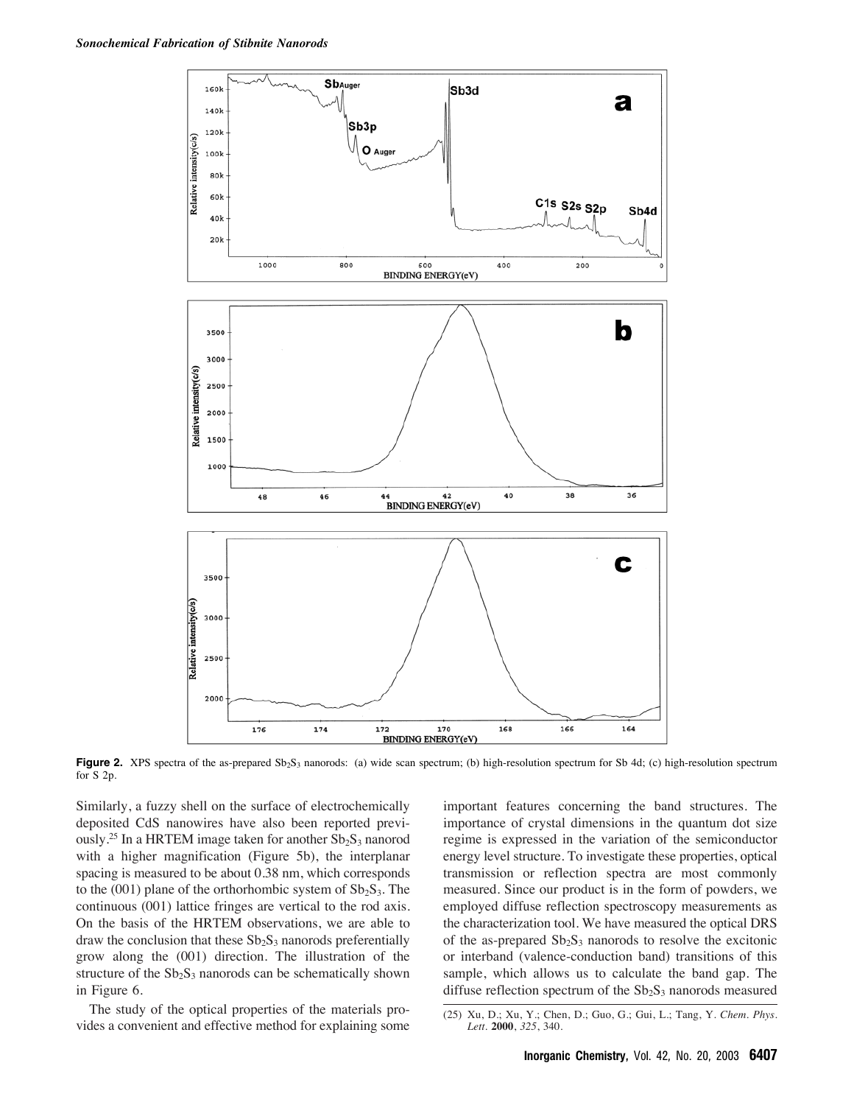

**Figure 2.** XPS spectra of the as-prepared Sb<sub>2</sub>S<sub>3</sub> nanorods: (a) wide scan spectrum; (b) high-resolution spectrum for Sb 4d; (c) high-resolution spectrum for S 2p.

Similarly, a fuzzy shell on the surface of electrochemically deposited CdS nanowires have also been reported previously.<sup>25</sup> In a HRTEM image taken for another  $Sb_2S_3$  nanorod with a higher magnification (Figure 5b), the interplanar spacing is measured to be about 0.38 nm, which corresponds to the (001) plane of the orthorhombic system of  $Sb_2S_3$ . The continuous (001) lattice fringes are vertical to the rod axis. On the basis of the HRTEM observations, we are able to draw the conclusion that these  $Sb_2S_3$  nanorods preferentially grow along the (001) direction. The illustration of the structure of the  $Sb_2S_3$  nanorods can be schematically shown in Figure 6.

The study of the optical properties of the materials provides a convenient and effective method for explaining some important features concerning the band structures. The importance of crystal dimensions in the quantum dot size regime is expressed in the variation of the semiconductor energy level structure. To investigate these properties, optical transmission or reflection spectra are most commonly measured. Since our product is in the form of powders, we employed diffuse reflection spectroscopy measurements as the characterization tool. We have measured the optical DRS of the as-prepared  $Sb_2S_3$  nanorods to resolve the excitonic or interband (valence-conduction band) transitions of this sample, which allows us to calculate the band gap. The diffuse reflection spectrum of the  $Sb<sub>2</sub>S<sub>3</sub>$  nanorods measured

<sup>(25)</sup> Xu, D.; Xu, Y.; Chen, D.; Guo, G.; Gui, L.; Tang, Y. *Chem. Phys. Lett.* **2000**, *325*, 340.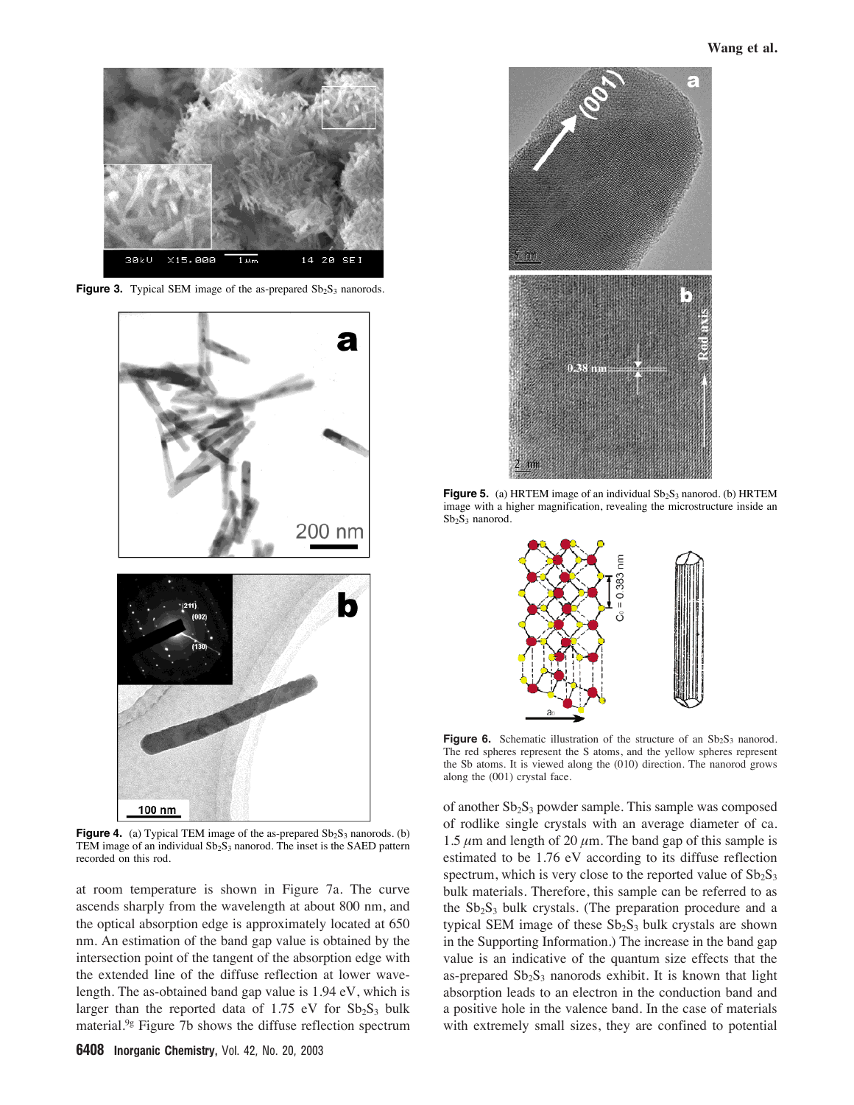

**Figure 3.** Typical SEM image of the as-prepared Sb<sub>2</sub>S<sub>3</sub> nanorods.



**Figure 4.** (a) Typical TEM image of the as-prepared  $Sb_2S_3$  nanorods. (b) TEM image of an individual  $Sb_2S_3$  nanorod. The inset is the SAED pattern recorded on this rod.

at room temperature is shown in Figure 7a. The curve ascends sharply from the wavelength at about 800 nm, and the optical absorption edge is approximately located at 650 nm. An estimation of the band gap value is obtained by the intersection point of the tangent of the absorption edge with the extended line of the diffuse reflection at lower wavelength. The as-obtained band gap value is 1.94 eV, which is larger than the reported data of 1.75 eV for  $Sb_2S_3$  bulk material.9g Figure 7b shows the diffuse reflection spectrum



**Figure 5.** (a) HRTEM image of an individual  $Sb_2S_3$  nanorod. (b) HRTEM image with a higher magnification, revealing the microstructure inside an Sb<sub>2</sub>S<sub>3</sub> nanorod.



**Figure 6.** Schematic illustration of the structure of an  $Sb_2S_3$  nanorod. The red spheres represent the S atoms, and the yellow spheres represent the Sb atoms. It is viewed along the (010) direction. The nanorod grows along the (001) crystal face.

of another  $Sb_2S_3$  powder sample. This sample was composed of rodlike single crystals with an average diameter of ca. 1.5  $\mu$ m and length of 20  $\mu$ m. The band gap of this sample is estimated to be 1.76 eV according to its diffuse reflection spectrum, which is very close to the reported value of  $Sb_2S_3$ bulk materials. Therefore, this sample can be referred to as the  $Sb_2S_3$  bulk crystals. (The preparation procedure and a typical SEM image of these  $Sb_2S_3$  bulk crystals are shown in the Supporting Information.) The increase in the band gap value is an indicative of the quantum size effects that the as-prepared  $Sb_2S_3$  nanorods exhibit. It is known that light absorption leads to an electron in the conduction band and a positive hole in the valence band. In the case of materials with extremely small sizes, they are confined to potential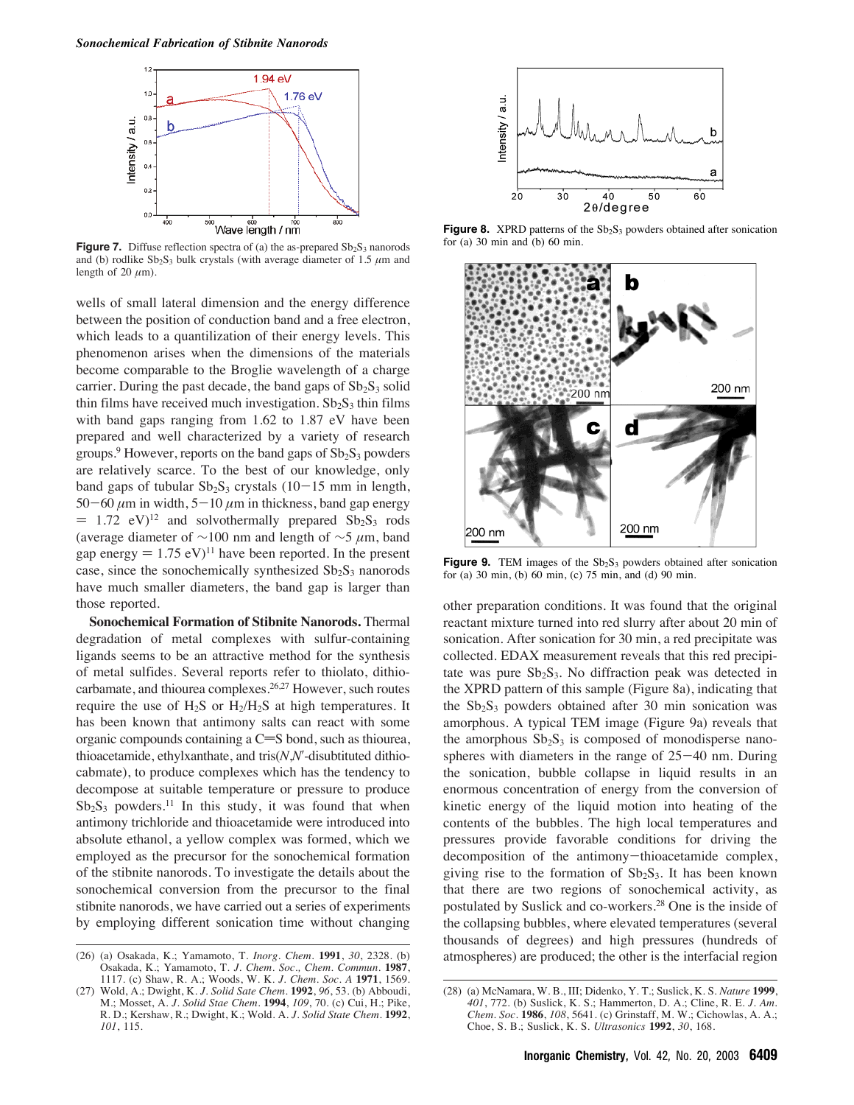

**Figure 7.** Diffuse reflection spectra of (a) the as-prepared  $Sb_2S_3$  nanorods and (b) rodlike  $Sb_2S_3$  bulk crystals (with average diameter of 1.5  $\mu$ m and length of 20  $\mu$ m).

wells of small lateral dimension and the energy difference between the position of conduction band and a free electron, which leads to a quantilization of their energy levels. This phenomenon arises when the dimensions of the materials become comparable to the Broglie wavelength of a charge carrier. During the past decade, the band gaps of  $Sb<sub>2</sub>S<sub>3</sub>$  solid thin films have received much investigation.  $Sb_2S_3$  thin films with band gaps ranging from 1.62 to 1.87 eV have been prepared and well characterized by a variety of research groups.<sup>9</sup> However, reports on the band gaps of  $Sb<sub>2</sub>S<sub>3</sub>$  powders are relatively scarce. To the best of our knowledge, only band gaps of tubular  $Sb_2S_3$  crystals (10-15 mm in length, 50-60  $\mu$ m in width, 5-10  $\mu$ m in thickness, band gap energy  $= 1.72$  eV)<sup>12</sup> and solvothermally prepared Sb<sub>2</sub>S<sub>3</sub> rods (average diameter of  $\sim$ 100 nm and length of  $\sim$ 5 µm, band gap energy  $= 1.75$  eV)<sup>11</sup> have been reported. In the present case, since the sonochemically synthesized  $Sb<sub>2</sub>S<sub>3</sub>$  nanorods have much smaller diameters, the band gap is larger than those reported.

**Sonochemical Formation of Stibnite Nanorods.** Thermal degradation of metal complexes with sulfur-containing ligands seems to be an attractive method for the synthesis of metal sulfides. Several reports refer to thiolato, dithiocarbamate, and thiourea complexes.26,27 However, such routes require the use of  $H_2S$  or  $H_2/H_2S$  at high temperatures. It has been known that antimony salts can react with some organic compounds containing a  $C=$ S bond, such as thiourea, thioacetamide, ethylxanthate, and tris(*N*,*N*ʹ-disubtituted dithiocabmate), to produce complexes which has the tendency to decompose at suitable temperature or pressure to produce  $Sb_2S_3$  powders.<sup>11</sup> In this study, it was found that when antimony trichloride and thioacetamide were introduced into absolute ethanol, a yellow complex was formed, which we employed as the precursor for the sonochemical formation of the stibnite nanorods. To investigate the details about the sonochemical conversion from the precursor to the final stibnite nanorods, we have carried out a series of experiments by employing different sonication time without changing



Figure 8. XPRD patterns of the Sb<sub>2</sub>S<sub>3</sub> powders obtained after sonication for (a)  $30 \text{ min}$  and (b)  $60 \text{ min}$ .



**Figure 9.** TEM images of the  $Sb_2S_3$  powders obtained after sonication for (a) 30 min, (b) 60 min, (c) 75 min, and (d) 90 min.

other preparation conditions. It was found that the original reactant mixture turned into red slurry after about 20 min of sonication. After sonication for 30 min, a red precipitate was collected. EDAX measurement reveals that this red precipitate was pure  $Sb_2S_3$ . No diffraction peak was detected in the XPRD pattern of this sample (Figure 8a), indicating that the  $Sb_2S_3$  powders obtained after 30 min sonication was amorphous. A typical TEM image (Figure 9a) reveals that the amorphous  $Sb_2S_3$  is composed of monodisperse nanospheres with diameters in the range of  $25-40$  nm. During the sonication, bubble collapse in liquid results in an enormous concentration of energy from the conversion of kinetic energy of the liquid motion into heating of the contents of the bubbles. The high local temperatures and pressures provide favorable conditions for driving the decomposition of the antimony-thioacetamide complex, giving rise to the formation of  $Sb_2S_3$ . It has been known that there are two regions of sonochemical activity, as postulated by Suslick and co-workers.28 One is the inside of the collapsing bubbles, where elevated temperatures (several thousands of degrees) and high pressures (hundreds of

<sup>(26) (</sup>a) Osakada, K.; Yamamoto, T. *Inorg. Chem.* 1991, 30, 2328. (b) atmospheres) are produced; the other is the interfacial region Osakada, K.; Yamamoto, T. J. Chem. Soc., Chem. Commun. 1987, 1117. (c) Shaw, R. A.; Woods, W. K. *J. Chem. Soc. A* **1971**, 1569.

<sup>(27)</sup> Wold, A.; Dwight, K. *J. Solid Sate Chem.* **1992**, *96*, 53. (b) Abboudi, M.; Mosset, A. *J. Solid Stae Chem.* **1994**, *109*, 70. (c) Cui, H.; Pike, R. D.; Kershaw, R.; Dwight, K.; Wold. A. *J. Solid State Chem.* **1992**, *101*, 115.

<sup>(28) (</sup>a) McNamara, W. B., III; Didenko, Y. T.; Suslick, K. S. *Nature* **1999**, *401*, 772. (b) Suslick, K. S.; Hammerton, D. A.; Cline, R. E. *J. Am. Chem. Soc.* **1986**, *108*, 5641. (c) Grinstaff, M. W.; Cichowlas, A. A.; Choe, S. B.; Suslick, K. S. *Ultrasonics* **1992**, *30*, 168.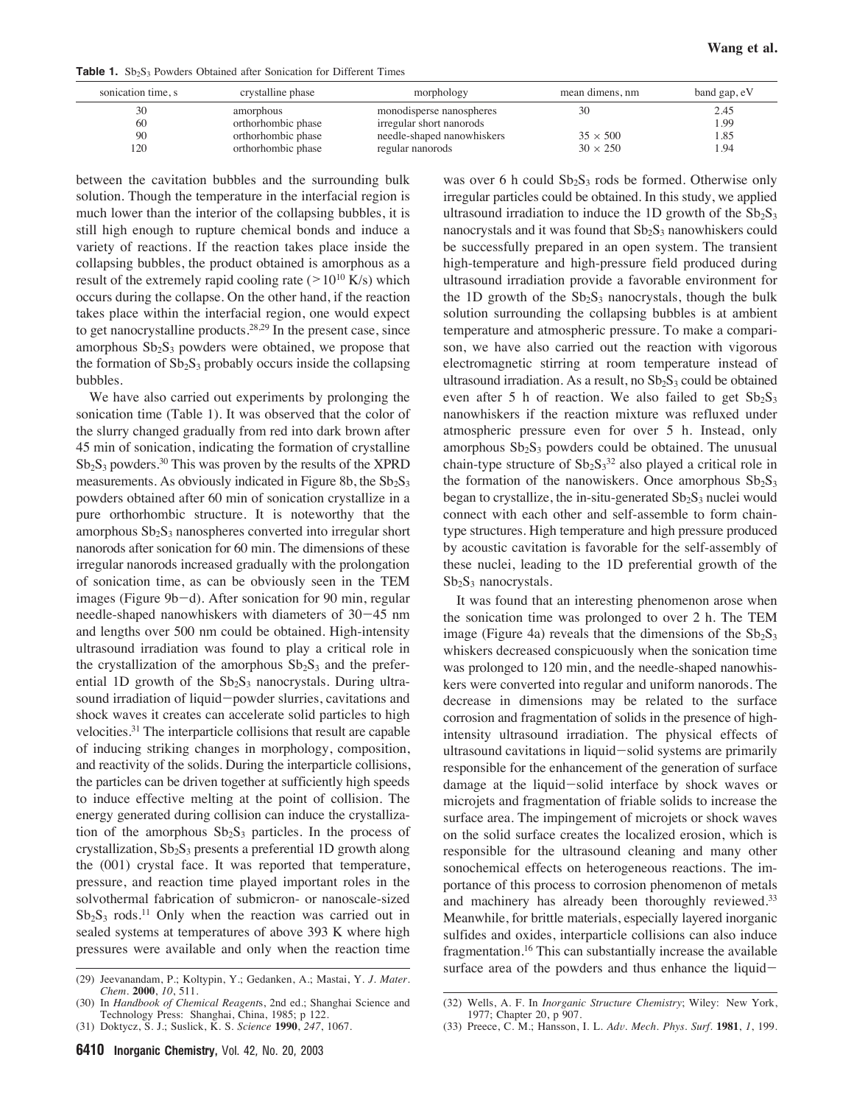**Table 1.** Sb<sub>2</sub>S<sub>3</sub> Powders Obtained after Sonication for Different Times

| sonication time, s | crystalline phase  | morphology                 | mean dimens, nm | band gap, eV |
|--------------------|--------------------|----------------------------|-----------------|--------------|
| 30                 | amorphous          | monodisperse nanospheres   | 30              | 2.45         |
| 60                 | orthorhombic phase | irregular short nanorods   |                 | .99          |
| 90                 | orthorhombic phase | needle-shaped nanowhiskers | $35 \times 500$ | . 85         |
| 120                | orthorhombic phase | regular nanorods           | $30 \times 250$ | .94          |

between the cavitation bubbles and the surrounding bulk solution. Though the temperature in the interfacial region is much lower than the interior of the collapsing bubbles, it is still high enough to rupture chemical bonds and induce a variety of reactions. If the reaction takes place inside the collapsing bubbles, the product obtained is amorphous as a result of the extremely rapid cooling rate ( $>10^{10}$  K/s) which occurs during the collapse. On the other hand, if the reaction takes place within the interfacial region, one would expect to get nanocrystalline products.28,29 In the present case, since amorphous  $Sb_2S_3$  powders were obtained, we propose that the formation of  $Sb_2S_3$  probably occurs inside the collapsing bubbles.

We have also carried out experiments by prolonging the sonication time (Table 1). It was observed that the color of the slurry changed gradually from red into dark brown after 45 min of sonication, indicating the formation of crystalline  $Sb_2S_3$  powders.<sup>30</sup> This was proven by the results of the XPRD measurements. As obviously indicated in Figure 8b, the  $Sb_2S_3$ powders obtained after 60 min of sonication crystallize in a pure orthorhombic structure. It is noteworthy that the amorphous  $Sb_2S_3$  nanospheres converted into irregular short nanorods after sonication for 60 min. The dimensions of these irregular nanorods increased gradually with the prolongation of sonication time, as can be obviously seen in the TEM images (Figure 9b-d). After sonication for 90 min, regular needle-shaped nanowhiskers with diameters of 30-45 nm and lengths over 500 nm could be obtained. High-intensity ultrasound irradiation was found to play a critical role in the crystallization of the amorphous  $Sb_2S_3$  and the preferential 1D growth of the  $Sb_2S_3$  nanocrystals. During ultrasound irradiation of liquid-powder slurries, cavitations and shock waves it creates can accelerate solid particles to high velocities.31 The interparticle collisions that result are capable of inducing striking changes in morphology, composition, and reactivity of the solids. During the interparticle collisions, the particles can be driven together at sufficiently high speeds to induce effective melting at the point of collision. The energy generated during collision can induce the crystallization of the amorphous  $Sb_2S_3$  particles. In the process of crystallization,  $Sb_2S_3$  presents a preferential 1D growth along the (001) crystal face. It was reported that temperature, pressure, and reaction time played important roles in the solvothermal fabrication of submicron- or nanoscale-sized  $Sb_2S_3$  rods.<sup>11</sup> Only when the reaction was carried out in sealed systems at temperatures of above 393 K where high pressures were available and only when the reaction time

was over 6 h could  $Sb_2S_3$  rods be formed. Otherwise only irregular particles could be obtained. In this study, we applied ultrasound irradiation to induce the 1D growth of the  $Sb_2S_3$ nanocrystals and it was found that  $Sb_2S_3$  nanowhiskers could be successfully prepared in an open system. The transient high-temperature and high-pressure field produced during ultrasound irradiation provide a favorable environment for the 1D growth of the  $Sb_2S_3$  nanocrystals, though the bulk solution surrounding the collapsing bubbles is at ambient temperature and atmospheric pressure. To make a comparison, we have also carried out the reaction with vigorous electromagnetic stirring at room temperature instead of ultrasound irradiation. As a result, no  $Sb<sub>2</sub>S<sub>3</sub>$  could be obtained even after 5 h of reaction. We also failed to get  $Sb_2S_3$ nanowhiskers if the reaction mixture was refluxed under atmospheric pressure even for over 5 h. Instead, only amorphous  $Sb_2S_3$  powders could be obtained. The unusual chain-type structure of  $Sb_2S_3^{32}$  also played a critical role in the formation of the nanowiskers. Once amorphous  $Sb_2S_3$ began to crystallize, the in-situ-generated  $Sb_2S_3$  nuclei would connect with each other and self-assemble to form chaintype structures. High temperature and high pressure produced by acoustic cavitation is favorable for the self-assembly of these nuclei, leading to the 1D preferential growth of the  $Sb<sub>2</sub>S<sub>3</sub>$  nanocrystals.

It was found that an interesting phenomenon arose when the sonication time was prolonged to over 2 h. The TEM image (Figure 4a) reveals that the dimensions of the  $Sb_2S_3$ whiskers decreased conspicuously when the sonication time was prolonged to 120 min, and the needle-shaped nanowhiskers were converted into regular and uniform nanorods. The decrease in dimensions may be related to the surface corrosion and fragmentation of solids in the presence of highintensity ultrasound irradiation. The physical effects of ultrasound cavitations in liquid-solid systems are primarily responsible for the enhancement of the generation of surface damage at the liquid-solid interface by shock waves or microjets and fragmentation of friable solids to increase the surface area. The impingement of microjets or shock waves on the solid surface creates the localized erosion, which is responsible for the ultrasound cleaning and many other sonochemical effects on heterogeneous reactions. The importance of this process to corrosion phenomenon of metals and machinery has already been thoroughly reviewed.<sup>33</sup> Meanwhile, for brittle materials, especially layered inorganic sulfides and oxides, interparticle collisions can also induce fragmentation.<sup>16</sup> This can substantially increase the available surface area of the powders and thus enhance the liquid- (29) Jeevanandam, P.; Koltypin, Y.; Gedanken, A.; Mastai, Y. *J. Mater.*

*Chem.* **2000**, *10*, 511.

<sup>(30)</sup> In *Handbook of Chemical Reagent*s, 2nd ed.; Shanghai Science and Technology Press: Shanghai, China, 1985; p 122.

<sup>(31)</sup> Doktycz, S. J.; Suslick, K. S. *Science* **1990**, *247*, 1067.

<sup>(32)</sup> Wells, A. F. In *Inorganic Structure Chemistry*; Wiley: New York, 1977; Chapter 20, p 907.

<sup>(33)</sup> Preece, C. M.; Hansson, I. L. *Ad*V*. Mech. Phys. Surf.* **1981**, *1*, 199.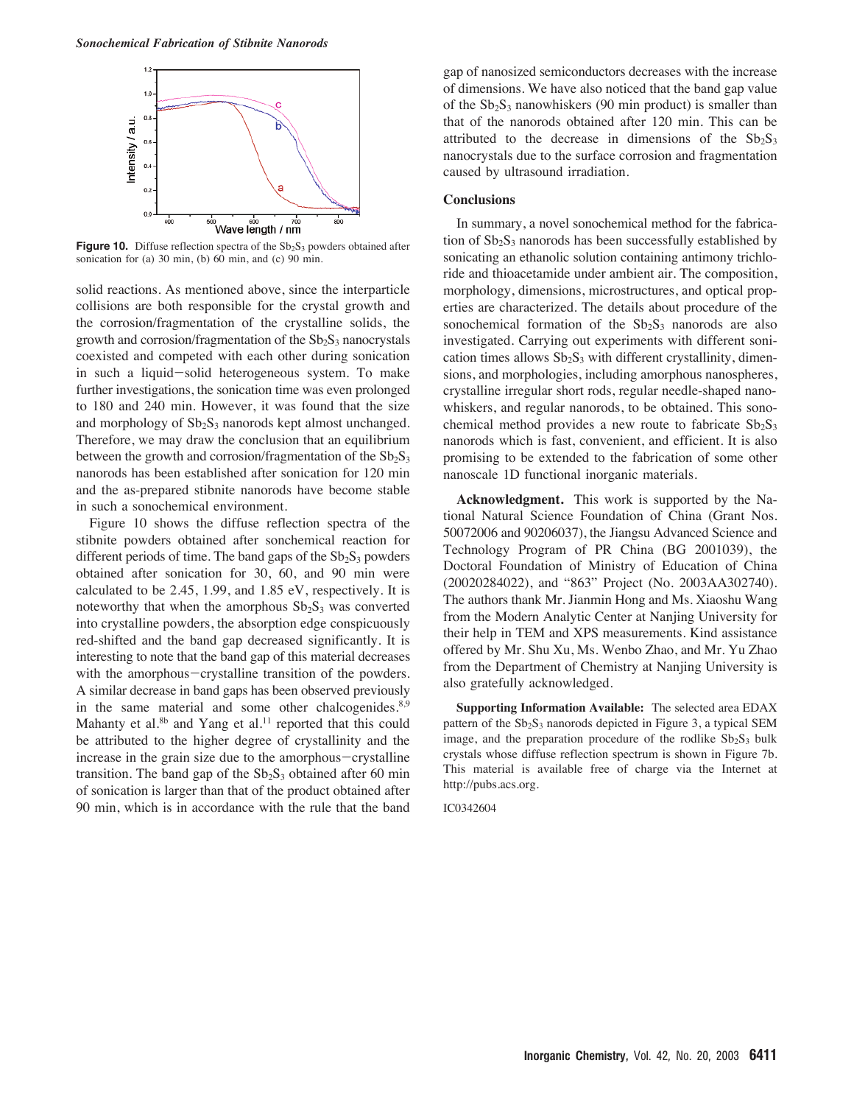

**Figure 10.** Diffuse reflection spectra of the  $Sb_2S_3$  powders obtained after sonication for (a)  $30 \text{ min}$ , (b)  $60 \text{ min}$ , and (c)  $90 \text{ min}$ .

solid reactions. As mentioned above, since the interparticle collisions are both responsible for the crystal growth and the corrosion/fragmentation of the crystalline solids, the growth and corrosion/fragmentation of the  $Sb<sub>2</sub>S<sub>3</sub>$  nanocrystals coexisted and competed with each other during sonication in such a liquid-solid heterogeneous system. To make further investigations, the sonication time was even prolonged to 180 and 240 min. However, it was found that the size and morphology of  $Sb_2S_3$  nanorods kept almost unchanged. Therefore, we may draw the conclusion that an equilibrium between the growth and corrosion/fragmentation of the  $Sb_2S_3$ nanorods has been established after sonication for 120 min and the as-prepared stibnite nanorods have become stable in such a sonochemical environment.

Figure 10 shows the diffuse reflection spectra of the stibnite powders obtained after sonchemical reaction for different periods of time. The band gaps of the  $Sb<sub>2</sub>S<sub>3</sub>$  powders obtained after sonication for 30, 60, and 90 min were calculated to be 2.45, 1.99, and 1.85 eV, respectively. It is noteworthy that when the amorphous  $Sb_2S_3$  was converted into crystalline powders, the absorption edge conspicuously red-shifted and the band gap decreased significantly. It is interesting to note that the band gap of this material decreases with the amorphous-crystalline transition of the powders. A similar decrease in band gaps has been observed previously in the same material and some other chalcogenides.<sup>8,9</sup> Mahanty et al. $8<sup>b</sup>$  and Yang et al.<sup>11</sup> reported that this could be attributed to the higher degree of crystallinity and the increase in the grain size due to the amorphous-crystalline transition. The band gap of the  $Sb_2S_3$  obtained after 60 min of sonication is larger than that of the product obtained after 90 min, which is in accordance with the rule that the band

gap of nanosized semiconductors decreases with the increase of dimensions. We have also noticed that the band gap value of the  $Sb_2S_3$  nanowhiskers (90 min product) is smaller than that of the nanorods obtained after 120 min. This can be attributed to the decrease in dimensions of the  $Sb_2S_3$ nanocrystals due to the surface corrosion and fragmentation caused by ultrasound irradiation.

## **Conclusions**

In summary, a novel sonochemical method for the fabrication of  $Sb_2S_3$  nanorods has been successfully established by sonicating an ethanolic solution containing antimony trichloride and thioacetamide under ambient air. The composition, morphology, dimensions, microstructures, and optical properties are characterized. The details about procedure of the sonochemical formation of the  $Sb_2S_3$  nanorods are also investigated. Carrying out experiments with different sonication times allows  $Sb_2S_3$  with different crystallinity, dimensions, and morphologies, including amorphous nanospheres, crystalline irregular short rods, regular needle-shaped nanowhiskers, and regular nanorods, to be obtained. This sonochemical method provides a new route to fabricate  $Sb_2S_3$ nanorods which is fast, convenient, and efficient. It is also promising to be extended to the fabrication of some other nanoscale 1D functional inorganic materials.

**Acknowledgment.** This work is supported by the National Natural Science Foundation of China (Grant Nos. 50072006 and 90206037), the Jiangsu Advanced Science and Technology Program of PR China (BG 2001039), the Doctoral Foundation of Ministry of Education of China (20020284022), and "863" Project (No. 2003AA302740). The authors thank Mr. Jianmin Hong and Ms. Xiaoshu Wang from the Modern Analytic Center at Nanjing University for their help in TEM and XPS measurements. Kind assistance offered by Mr. Shu Xu, Ms. Wenbo Zhao, and Mr. Yu Zhao from the Department of Chemistry at Nanjing University is also gratefully acknowledged.

**Supporting Information Available:** The selected area EDAX pattern of the  $Sb_2S_3$  nanorods depicted in Figure 3, a typical SEM image, and the preparation procedure of the rodlike  $Sb_2S_3$  bulk crystals whose diffuse reflection spectrum is shown in Figure 7b. This material is available free of charge via the Internet at http://pubs.acs.org.

IC0342604